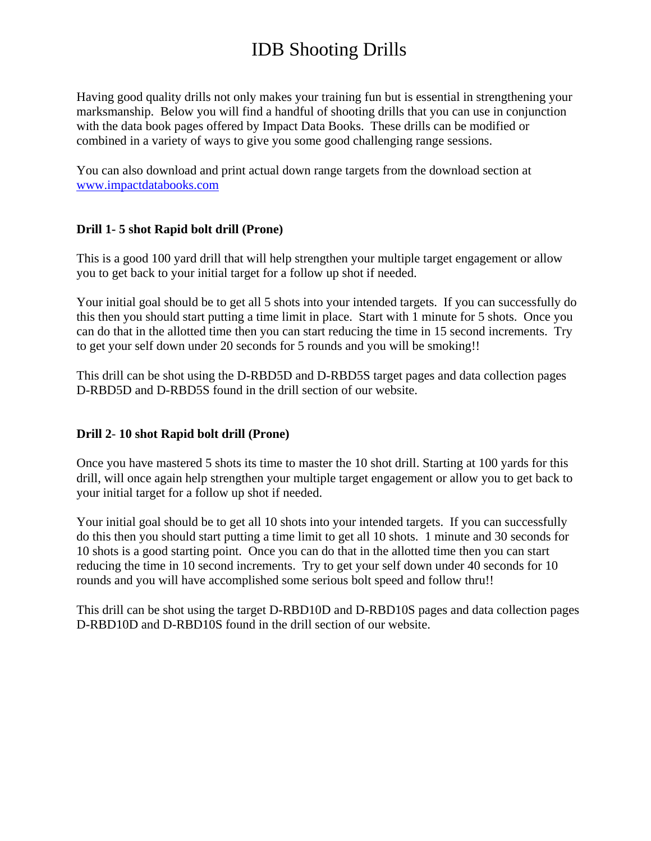# IDB Shooting Drills

Having good quality drills not only makes your training fun but is essential in strengthening your marksmanship. Below you will find a handful of shooting drills that you can use in conjunction with the data book pages offered by Impact Data Books. These drills can be modified or combined in a variety of ways to give you some good challenging range sessions.

You can also download and print actual down range targets from the download section at www.impactdatabooks.com

#### **Drill 1- 5 shot Rapid bolt drill (Prone)**

This is a good 100 yard drill that will help strengthen your multiple target engagement or allow you to get back to your initial target for a follow up shot if needed.

Your initial goal should be to get all 5 shots into your intended targets. If you can successfully do this then you should start putting a time limit in place. Start with 1 minute for 5 shots. Once you can do that in the allotted time then you can start reducing the time in 15 second increments. Try to get your self down under 20 seconds for 5 rounds and you will be smoking!!

This drill can be shot using the D-RBD5D and D-RBD5S target pages and data collection pages D-RBD5D and D-RBD5S found in the drill section of our website.

#### **Drill 2**- **10 shot Rapid bolt drill (Prone)**

Once you have mastered 5 shots its time to master the 10 shot drill. Starting at 100 yards for this drill, will once again help strengthen your multiple target engagement or allow you to get back to your initial target for a follow up shot if needed.

Your initial goal should be to get all 10 shots into your intended targets. If you can successfully do this then you should start putting a time limit to get all 10 shots. 1 minute and 30 seconds for 10 shots is a good starting point. Once you can do that in the allotted time then you can start reducing the time in 10 second increments. Try to get your self down under 40 seconds for 10 rounds and you will have accomplished some serious bolt speed and follow thru!!

This drill can be shot using the target D-RBD10D and D-RBD10S pages and data collection pages D-RBD10D and D-RBD10S found in the drill section of our website.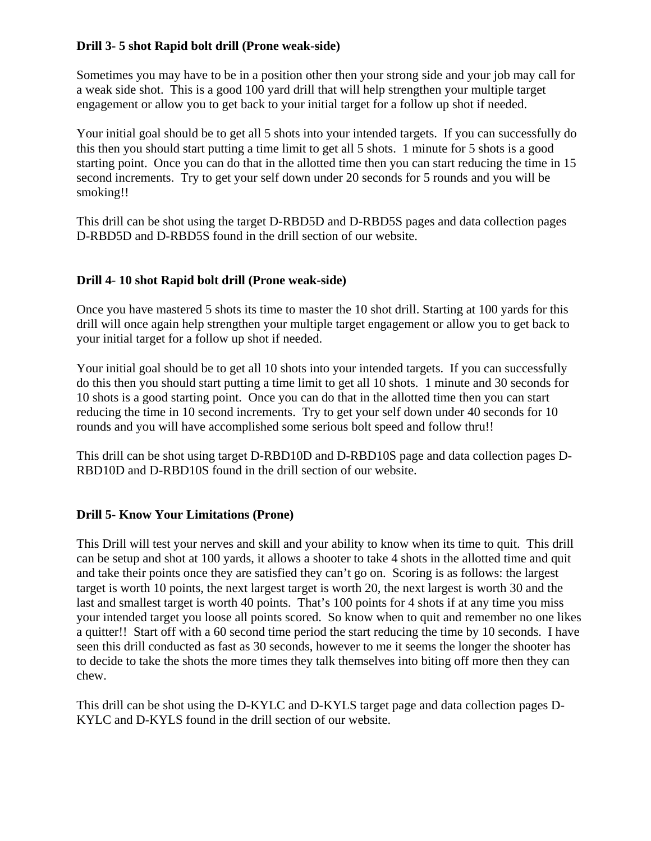#### **Drill 3- 5 shot Rapid bolt drill (Prone weak-side)**

Sometimes you may have to be in a position other then your strong side and your job may call for a weak side shot. This is a good 100 yard drill that will help strengthen your multiple target engagement or allow you to get back to your initial target for a follow up shot if needed.

Your initial goal should be to get all 5 shots into your intended targets. If you can successfully do this then you should start putting a time limit to get all 5 shots. 1 minute for 5 shots is a good starting point. Once you can do that in the allotted time then you can start reducing the time in 15 second increments. Try to get your self down under 20 seconds for 5 rounds and you will be smoking!!

This drill can be shot using the target D-RBD5D and D-RBD5S pages and data collection pages D-RBD5D and D-RBD5S found in the drill section of our website.

#### **Drill 4**- **10 shot Rapid bolt drill (Prone weak-side)**

Once you have mastered 5 shots its time to master the 10 shot drill. Starting at 100 yards for this drill will once again help strengthen your multiple target engagement or allow you to get back to your initial target for a follow up shot if needed.

Your initial goal should be to get all 10 shots into your intended targets. If you can successfully do this then you should start putting a time limit to get all 10 shots. 1 minute and 30 seconds for 10 shots is a good starting point. Once you can do that in the allotted time then you can start reducing the time in 10 second increments. Try to get your self down under 40 seconds for 10 rounds and you will have accomplished some serious bolt speed and follow thru!!

This drill can be shot using target D-RBD10D and D-RBD10S page and data collection pages D-RBD10D and D-RBD10S found in the drill section of our website.

#### **Drill 5- Know Your Limitations (Prone)**

This Drill will test your nerves and skill and your ability to know when its time to quit. This drill can be setup and shot at 100 yards, it allows a shooter to take 4 shots in the allotted time and quit and take their points once they are satisfied they can't go on. Scoring is as follows: the largest target is worth 10 points, the next largest target is worth 20, the next largest is worth 30 and the last and smallest target is worth 40 points. That's 100 points for 4 shots if at any time you miss your intended target you loose all points scored. So know when to quit and remember no one likes a quitter!! Start off with a 60 second time period the start reducing the time by 10 seconds. I have seen this drill conducted as fast as 30 seconds, however to me it seems the longer the shooter has to decide to take the shots the more times they talk themselves into biting off more then they can chew.

This drill can be shot using the D-KYLC and D-KYLS target page and data collection pages D-KYLC and D-KYLS found in the drill section of our website.